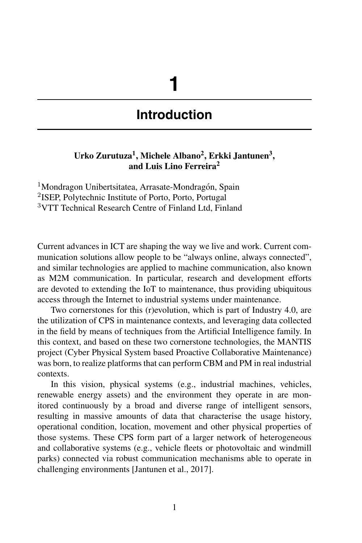# **1**

## **Introduction**

#### **Urko Zurutuza<sup>1</sup> , Michele Albano<sup>2</sup> , Erkki Jantunen<sup>3</sup> , and Luis Lino Ferreira<sup>2</sup>**

<sup>1</sup>Mondragon Unibertsitatea, Arrasate-Mondragón, Spain <sup>2</sup>ISEP, Polytechnic Institute of Porto, Porto, Portugal <sup>3</sup>VTT Technical Research Centre of Finland Ltd, Finland

Current advances in ICT are shaping the way we live and work. Current communication solutions allow people to be "always online, always connected", and similar technologies are applied to machine communication, also known as M2M communication. In particular, research and development efforts are devoted to extending the IoT to maintenance, thus providing ubiquitous access through the Internet to industrial systems under maintenance.

Two cornerstones for this (r)evolution, which is part of Industry 4.0, are the utilization of CPS in maintenance contexts, and leveraging data collected in the field by means of techniques from the Artificial Intelligence family. In this context, and based on these two cornerstone technologies, the MANTIS project (Cyber Physical System based Proactive Collaborative Maintenance) was born, to realize platforms that can perform CBM and PM in real industrial contexts.

In this vision, physical systems (e.g., industrial machines, vehicles, renewable energy assets) and the environment they operate in are monitored continuously by a broad and diverse range of intelligent sensors, resulting in massive amounts of data that characterise the usage history, operational condition, location, movement and other physical properties of those systems. These CPS form part of a larger network of heterogeneous and collaborative systems (e.g., vehicle fleets or photovoltaic and windmill parks) connected via robust communication mechanisms able to operate in challenging environments [Jantunen et al., 2017].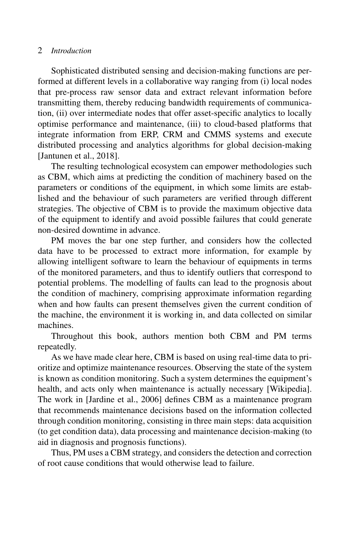#### 2 *Introduction*

Sophisticated distributed sensing and decision-making functions are performed at different levels in a collaborative way ranging from (i) local nodes that pre-process raw sensor data and extract relevant information before transmitting them, thereby reducing bandwidth requirements of communication, (ii) over intermediate nodes that offer asset-specific analytics to locally optimise performance and maintenance, (iii) to cloud-based platforms that integrate information from ERP, CRM and CMMS systems and execute distributed processing and analytics algorithms for global decision-making [Jantunen et al., 2018].

The resulting technological ecosystem can empower methodologies such as CBM, which aims at predicting the condition of machinery based on the parameters or conditions of the equipment, in which some limits are established and the behaviour of such parameters are verified through different strategies. The objective of CBM is to provide the maximum objective data of the equipment to identify and avoid possible failures that could generate non-desired downtime in advance.

PM moves the bar one step further, and considers how the collected data have to be processed to extract more information, for example by allowing intelligent software to learn the behaviour of equipments in terms of the monitored parameters, and thus to identify outliers that correspond to potential problems. The modelling of faults can lead to the prognosis about the condition of machinery, comprising approximate information regarding when and how faults can present themselves given the current condition of the machine, the environment it is working in, and data collected on similar machines.

Throughout this book, authors mention both CBM and PM terms repeatedly.

As we have made clear here, CBM is based on using real-time data to prioritize and optimize maintenance resources. Observing the state of the system is known as condition monitoring. Such a system determines the equipment's health, and acts only when maintenance is actually necessary [Wikipedia]. The work in [Jardine et al., 2006] defines CBM as a maintenance program that recommends maintenance decisions based on the information collected through condition monitoring, consisting in three main steps: data acquisition (to get condition data), data processing and maintenance decision-making (to aid in diagnosis and prognosis functions).

Thus, PM uses a CBM strategy, and considers the detection and correction of root cause conditions that would otherwise lead to failure.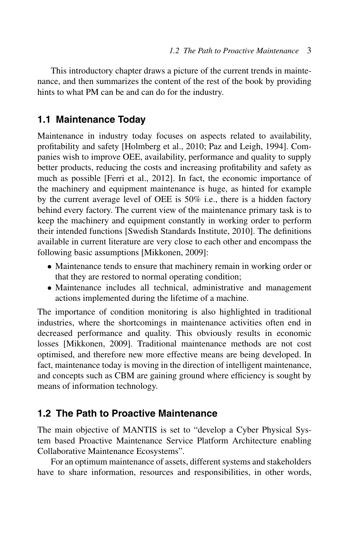This introductory chapter draws a picture of the current trends in maintenance, and then summarizes the content of the rest of the book by providing hints to what PM can be and can do for the industry.

## **1.1 Maintenance Today**

Maintenance in industry today focuses on aspects related to availability, profitability and safety [Holmberg et al., 2010; Paz and Leigh, 1994]. Companies wish to improve OEE, availability, performance and quality to supply better products, reducing the costs and increasing profitability and safety as much as possible [Ferri et al., 2012]. In fact, the economic importance of the machinery and equipment maintenance is huge, as hinted for example by the current average level of OEE is 50% i.e., there is a hidden factory behind every factory. The current view of the maintenance primary task is to keep the machinery and equipment constantly in working order to perform their intended functions [Swedish Standards Institute, 2010]. The definitions available in current literature are very close to each other and encompass the following basic assumptions [Mikkonen, 2009]:

- Maintenance tends to ensure that machinery remain in working order or that they are restored to normal operating condition;
- Maintenance includes all technical, administrative and management actions implemented during the lifetime of a machine.

The importance of condition monitoring is also highlighted in traditional industries, where the shortcomings in maintenance activities often end in decreased performance and quality. This obviously results in economic losses [Mikkonen, 2009]. Traditional maintenance methods are not cost optimised, and therefore new more effective means are being developed. In fact, maintenance today is moving in the direction of intelligent maintenance, and concepts such as CBM are gaining ground where efficiency is sought by means of information technology.

## **1.2 The Path to Proactive Maintenance**

The main objective of MANTIS is set to "develop a Cyber Physical System based Proactive Maintenance Service Platform Architecture enabling Collaborative Maintenance Ecosystems".

For an optimum maintenance of assets, different systems and stakeholders have to share information, resources and responsibilities, in other words,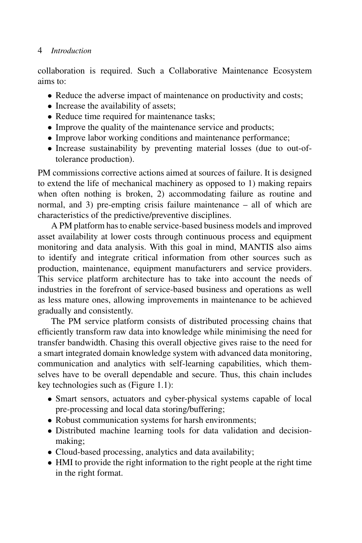#### 4 *Introduction*

collaboration is required. Such a Collaborative Maintenance Ecosystem aims to:

- Reduce the adverse impact of maintenance on productivity and costs;
- Increase the availability of assets;
- Reduce time required for maintenance tasks;
- Improve the quality of the maintenance service and products;
- Improve labor working conditions and maintenance performance;
- Increase sustainability by preventing material losses (due to out-oftolerance production).

PM commissions corrective actions aimed at sources of failure. It is designed to extend the life of mechanical machinery as opposed to 1) making repairs when often nothing is broken, 2) accommodating failure as routine and normal, and 3) pre-empting crisis failure maintenance – all of which are characteristics of the predictive/preventive disciplines.

A PM platform has to enable service-based business models and improved asset availability at lower costs through continuous process and equipment monitoring and data analysis. With this goal in mind, MANTIS also aims to identify and integrate critical information from other sources such as production, maintenance, equipment manufacturers and service providers. This service platform architecture has to take into account the needs of industries in the forefront of service-based business and operations as well as less mature ones, allowing improvements in maintenance to be achieved gradually and consistently.

The PM service platform consists of distributed processing chains that efficiently transform raw data into knowledge while minimising the need for transfer bandwidth. Chasing this overall objective gives raise to the need for a smart integrated domain knowledge system with advanced data monitoring, communication and analytics with self-learning capabilities, which themselves have to be overall dependable and secure. Thus, this chain includes key technologies such as (Figure 1.1):

- Smart sensors, actuators and cyber-physical systems capable of local pre-processing and local data storing/buffering;
- Robust communication systems for harsh environments;
- Distributed machine learning tools for data validation and decisionmaking;
- Cloud-based processing, analytics and data availability;
- HMI to provide the right information to the right people at the right time in the right format.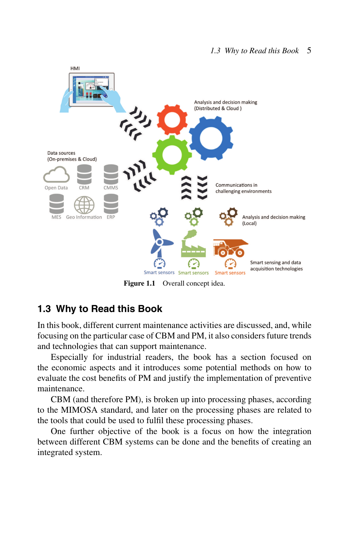

Figure 1.1 Overall concept idea.

## **1.3 Why to Read this Book**

In this book, different current maintenance activities are discussed, and, while focusing on the particular case of CBM and PM, it also considers future trends and technologies that can support maintenance.

Especially for industrial readers, the book has a section focused on the economic aspects and it introduces some potential methods on how to evaluate the cost benefits of PM and justify the implementation of preventive maintenance.

CBM (and therefore PM), is broken up into processing phases, according to the MIMOSA standard, and later on the processing phases are related to the tools that could be used to fulfil these processing phases.

One further objective of the book is a focus on how the integration between different CBM systems can be done and the benefits of creating an integrated system.